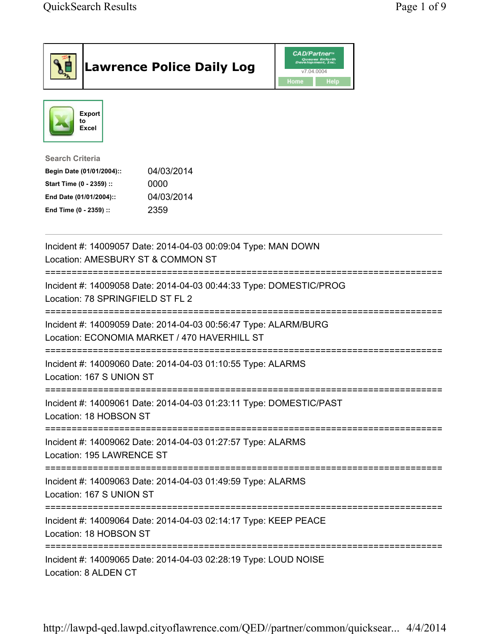| <b>Lawrence Police Daily Log</b>                                                                                                                                                 | <i><b>CAD/Partner</b></i><br>Queues Enforth<br>Development, Inc.<br>v7.04.0004<br>Home<br><b>Help</b> |
|----------------------------------------------------------------------------------------------------------------------------------------------------------------------------------|-------------------------------------------------------------------------------------------------------|
| Export<br>to<br>Excel                                                                                                                                                            |                                                                                                       |
| <b>Search Criteria</b><br>04/03/2014<br>Begin Date (01/01/2004)::<br>Start Time (0 - 2359) ::<br>0000<br>04/03/2014<br>End Date (01/01/2004)::<br>2359<br>End Time (0 - 2359) :: |                                                                                                       |
| Incident #: 14009057 Date: 2014-04-03 00:09:04 Type: MAN DOWN<br>Location: AMESBURY ST & COMMON ST                                                                               |                                                                                                       |
| Incident #: 14009058 Date: 2014-04-03 00:44:33 Type: DOMESTIC/PROG<br>Location: 78 SPRINGFIELD ST FL 2                                                                           |                                                                                                       |
| Incident #: 14009059 Date: 2014-04-03 00:56:47 Type: ALARM/BURG<br>Location: ECONOMIA MARKET / 470 HAVERHILL ST                                                                  |                                                                                                       |
| Incident #: 14009060 Date: 2014-04-03 01:10:55 Type: ALARMS<br>Location: 167 S UNION ST                                                                                          |                                                                                                       |
| Incident #: 14009061 Date: 2014-04-03 01:23:11 Type: DOMESTIC/PAST<br>Location: 18 HOBSON ST                                                                                     |                                                                                                       |
| Incident #: 14009062 Date: 2014-04-03 01:27:57 Type: ALARMS<br>Location: 195 LAWRENCE ST                                                                                         |                                                                                                       |
| Incident #: 14009063 Date: 2014-04-03 01:49:59 Type: ALARMS<br>Location: 167 S UNION ST                                                                                          |                                                                                                       |
| Incident #: 14009064 Date: 2014-04-03 02:14:17 Type: KEEP PEACE<br>Location: 18 HOBSON ST                                                                                        |                                                                                                       |
| Incident #: 14009065 Date: 2014-04-03 02:28:19 Type: LOUD NOISE<br>Location: 8 ALDEN CT                                                                                          |                                                                                                       |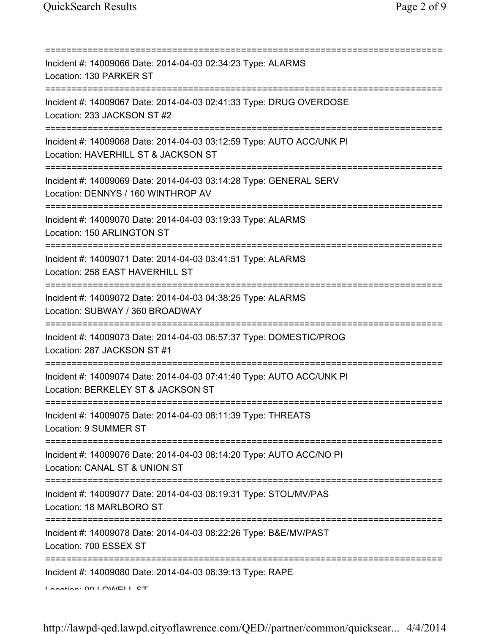| Incident #: 14009066 Date: 2014-04-03 02:34:23 Type: ALARMS<br>Location: 130 PARKER ST                                                      |
|---------------------------------------------------------------------------------------------------------------------------------------------|
| Incident #: 14009067 Date: 2014-04-03 02:41:33 Type: DRUG OVERDOSE<br>Location: 233 JACKSON ST #2                                           |
| Incident #: 14009068 Date: 2014-04-03 03:12:59 Type: AUTO ACC/UNK PI<br>Location: HAVERHILL ST & JACKSON ST                                 |
| Incident #: 14009069 Date: 2014-04-03 03:14:28 Type: GENERAL SERV<br>Location: DENNYS / 160 WINTHROP AV<br>:=============================== |
| Incident #: 14009070 Date: 2014-04-03 03:19:33 Type: ALARMS<br>Location: 150 ARLINGTON ST                                                   |
| Incident #: 14009071 Date: 2014-04-03 03:41:51 Type: ALARMS<br>Location: 258 EAST HAVERHILL ST                                              |
| Incident #: 14009072 Date: 2014-04-03 04:38:25 Type: ALARMS<br>Location: SUBWAY / 360 BROADWAY                                              |
| Incident #: 14009073 Date: 2014-04-03 06:57:37 Type: DOMESTIC/PROG<br>Location: 287 JACKSON ST #1                                           |
| Incident #: 14009074 Date: 2014-04-03 07:41:40 Type: AUTO ACC/UNK PI<br>Location: BERKELEY ST & JACKSON ST                                  |
| Incident #: 14009075 Date: 2014-04-03 08:11:39 Type: THREATS<br>Location: 9 SUMMER ST                                                       |
| Incident #: 14009076 Date: 2014-04-03 08:14:20 Type: AUTO ACC/NO PI<br>Location: CANAL ST & UNION ST                                        |
| Incident #: 14009077 Date: 2014-04-03 08:19:31 Type: STOL/MV/PAS<br>Location: 18 MARLBORO ST                                                |
| Incident #: 14009078 Date: 2014-04-03 08:22:26 Type: B&E/MV/PAST<br>Location: 700 ESSEX ST                                                  |
| Incident #: 14009080 Date: 2014-04-03 08:39:13 Type: RAPE<br>Lootion: 00 LOMELL CT                                                          |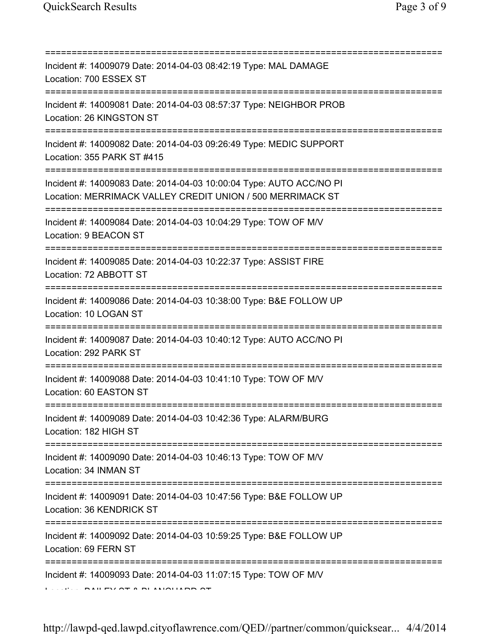| :===========                                                                                                                            |
|-----------------------------------------------------------------------------------------------------------------------------------------|
| Incident #: 14009079 Date: 2014-04-03 08:42:19 Type: MAL DAMAGE<br>Location: 700 ESSEX ST                                               |
| Incident #: 14009081 Date: 2014-04-03 08:57:37 Type: NEIGHBOR PROB<br>Location: 26 KINGSTON ST                                          |
| Incident #: 14009082 Date: 2014-04-03 09:26:49 Type: MEDIC SUPPORT<br>Location: 355 PARK ST #415<br>=================================== |
| Incident #: 14009083 Date: 2014-04-03 10:00:04 Type: AUTO ACC/NO PI<br>Location: MERRIMACK VALLEY CREDIT UNION / 500 MERRIMACK ST       |
| Incident #: 14009084 Date: 2014-04-03 10:04:29 Type: TOW OF M/V<br>Location: 9 BEACON ST                                                |
| Incident #: 14009085 Date: 2014-04-03 10:22:37 Type: ASSIST FIRE<br>Location: 72 ABBOTT ST                                              |
| Incident #: 14009086 Date: 2014-04-03 10:38:00 Type: B&E FOLLOW UP<br>Location: 10 LOGAN ST                                             |
| Incident #: 14009087 Date: 2014-04-03 10:40:12 Type: AUTO ACC/NO PI<br>Location: 292 PARK ST                                            |
| Incident #: 14009088 Date: 2014-04-03 10:41:10 Type: TOW OF M/V<br>Location: 60 EASTON ST                                               |
| Incident #: 14009089 Date: 2014-04-03 10:42:36 Type: ALARM/BURG<br>Location: 182 HIGH ST                                                |
| Incident #: 14009090 Date: 2014-04-03 10:46:13 Type: TOW OF M/V<br>Location: 34 INMAN ST                                                |
| Incident #: 14009091 Date: 2014-04-03 10:47:56 Type: B&E FOLLOW UP<br>Location: 36 KENDRICK ST                                          |
| =================================<br>Incident #: 14009092 Date: 2014-04-03 10:59:25 Type: B&E FOLLOW UP<br>Location: 69 FERN ST         |
| Incident #: 14009093 Date: 2014-04-03 11:07:15 Type: TOW OF M/V                                                                         |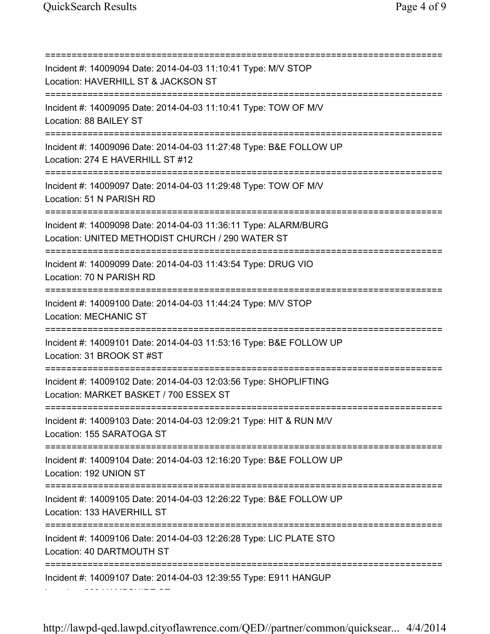=========================================================================== Incident #: 14009094 Date: 2014-04-03 11:10:41 Type: M/V STOP Location: HAVERHILL ST & JACKSON ST =========================================================================== Incident #: 14009095 Date: 2014-04-03 11:10:41 Type: TOW OF M/V Location: 88 BAILEY ST =========================================================================== Incident #: 14009096 Date: 2014-04-03 11:27:48 Type: B&E FOLLOW UP Location: 274 E HAVERHILL ST #12 =========================================================================== Incident #: 14009097 Date: 2014-04-03 11:29:48 Type: TOW OF M/V Location: 51 N PARISH RD =========================================================================== Incident #: 14009098 Date: 2014-04-03 11:36:11 Type: ALARM/BURG Location: UNITED METHODIST CHURCH / 290 WATER ST =========================================================================== Incident #: 14009099 Date: 2014-04-03 11:43:54 Type: DRUG VIO Location: 70 N PARISH RD =========================================================================== Incident #: 14009100 Date: 2014-04-03 11:44:24 Type: M/V STOP Location: MECHANIC ST =========================================================================== Incident #: 14009101 Date: 2014-04-03 11:53:16 Type: B&E FOLLOW UP Location: 31 BROOK ST #ST =========================================================================== Incident #: 14009102 Date: 2014-04-03 12:03:56 Type: SHOPLIFTING Location: MARKET BASKET / 700 ESSEX ST =========================================================================== Incident #: 14009103 Date: 2014-04-03 12:09:21 Type: HIT & RUN M/V Location: 155 SARATOGA ST =========================================================================== Incident #: 14009104 Date: 2014-04-03 12:16:20 Type: B&E FOLLOW UP Location: 192 UNION ST =========================================================================== Incident #: 14009105 Date: 2014-04-03 12:26:22 Type: B&E FOLLOW UP Location: 133 HAVERHILL ST =========================================================================== Incident #: 14009106 Date: 2014-04-03 12:26:28 Type: LIC PLATE STO Location: 40 DARTMOUTH ST =========================================================================== Incident #: 14009107 Date: 2014-04-03 12:39:55 Type: E911 HANGUP Location: 232 HAMPSHIRE ST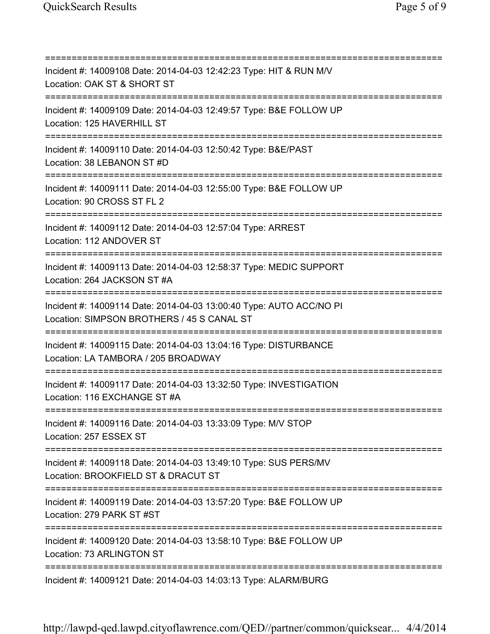=========================================================================== Incident #: 14009108 Date: 2014-04-03 12:42:23 Type: HIT & RUN M/V Location: OAK ST & SHORT ST =========================================================================== Incident #: 14009109 Date: 2014-04-03 12:49:57 Type: B&E FOLLOW UP Location: 125 HAVERHILL ST =========================================================================== Incident #: 14009110 Date: 2014-04-03 12:50:42 Type: B&E/PAST Location: 38 LEBANON ST #D =========================================================================== Incident #: 14009111 Date: 2014-04-03 12:55:00 Type: B&E FOLLOW UP Location: 90 CROSS ST FL 2 =========================================================================== Incident #: 14009112 Date: 2014-04-03 12:57:04 Type: ARREST Location: 112 ANDOVER ST =========================================================================== Incident #: 14009113 Date: 2014-04-03 12:58:37 Type: MEDIC SUPPORT Location: 264 JACKSON ST #A =========================================================================== Incident #: 14009114 Date: 2014-04-03 13:00:40 Type: AUTO ACC/NO PI Location: SIMPSON BROTHERS / 45 S CANAL ST =========================================================================== Incident #: 14009115 Date: 2014-04-03 13:04:16 Type: DISTURBANCE Location: LA TAMBORA / 205 BROADWAY =========================================================================== Incident #: 14009117 Date: 2014-04-03 13:32:50 Type: INVESTIGATION Location: 116 EXCHANGE ST #A =========================================================================== Incident #: 14009116 Date: 2014-04-03 13:33:09 Type: M/V STOP Location: 257 ESSEX ST =========================================================================== Incident #: 14009118 Date: 2014-04-03 13:49:10 Type: SUS PERS/MV Location: BROOKFIELD ST & DRACUT ST =========================================================================== Incident #: 14009119 Date: 2014-04-03 13:57:20 Type: B&E FOLLOW UP Location: 279 PARK ST #ST =========================================================================== Incident #: 14009120 Date: 2014-04-03 13:58:10 Type: B&E FOLLOW UP Location: 73 ARLINGTON ST =========================================================================== Incident #: 14009121 Date: 2014-04-03 14:03:13 Type: ALARM/BURG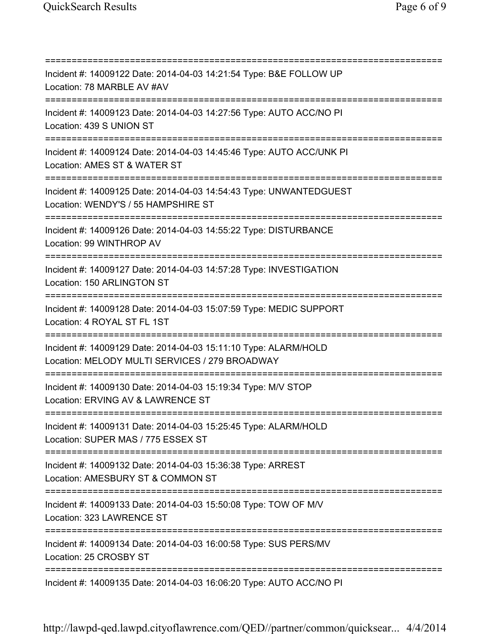=========================================================================== Incident #: 14009122 Date: 2014-04-03 14:21:54 Type: B&E FOLLOW UP Location: 78 MARBLE AV #AV =========================================================================== Incident #: 14009123 Date: 2014-04-03 14:27:56 Type: AUTO ACC/NO PI Location: 439 S UNION ST =========================================================================== Incident #: 14009124 Date: 2014-04-03 14:45:46 Type: AUTO ACC/UNK PI Location: AMES ST & WATER ST =========================================================================== Incident #: 14009125 Date: 2014-04-03 14:54:43 Type: UNWANTEDGUEST Location: WENDY'S / 55 HAMPSHIRE ST =========================================================================== Incident #: 14009126 Date: 2014-04-03 14:55:22 Type: DISTURBANCE Location: 99 WINTHROP AV =========================================================================== Incident #: 14009127 Date: 2014-04-03 14:57:28 Type: INVESTIGATION Location: 150 ARLINGTON ST =========================================================================== Incident #: 14009128 Date: 2014-04-03 15:07:59 Type: MEDIC SUPPORT Location: 4 ROYAL ST FL 1ST =========================================================================== Incident #: 14009129 Date: 2014-04-03 15:11:10 Type: ALARM/HOLD Location: MELODY MULTI SERVICES / 279 BROADWAY =========================================================================== Incident #: 14009130 Date: 2014-04-03 15:19:34 Type: M/V STOP Location: ERVING AV & LAWRENCE ST =========================================================================== Incident #: 14009131 Date: 2014-04-03 15:25:45 Type: ALARM/HOLD Location: SUPER MAS / 775 ESSEX ST =========================================================================== Incident #: 14009132 Date: 2014-04-03 15:36:38 Type: ARREST Location: AMESBURY ST & COMMON ST =========================================================================== Incident #: 14009133 Date: 2014-04-03 15:50:08 Type: TOW OF M/V Location: 323 LAWRENCE ST =========================================================================== Incident #: 14009134 Date: 2014-04-03 16:00:58 Type: SUS PERS/MV Location: 25 CROSBY ST =========================================================================== Incident #: 14009135 Date: 2014-04-03 16:06:20 Type: AUTO ACC/NO PI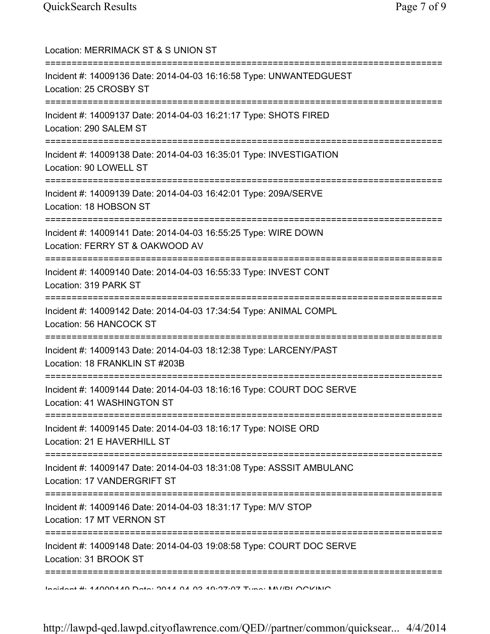| Location: MERRIMACK ST & S UNION ST<br>===============================                                                                            |
|---------------------------------------------------------------------------------------------------------------------------------------------------|
| Incident #: 14009136 Date: 2014-04-03 16:16:58 Type: UNWANTEDGUEST<br>Location: 25 CROSBY ST                                                      |
| Incident #: 14009137 Date: 2014-04-03 16:21:17 Type: SHOTS FIRED<br>Location: 290 SALEM ST                                                        |
| Incident #: 14009138 Date: 2014-04-03 16:35:01 Type: INVESTIGATION<br>Location: 90 LOWELL ST<br>================================                  |
| Incident #: 14009139 Date: 2014-04-03 16:42:01 Type: 209A/SERVE<br>Location: 18 HOBSON ST                                                         |
| Incident #: 14009141 Date: 2014-04-03 16:55:25 Type: WIRE DOWN<br>Location: FERRY ST & OAKWOOD AV<br>=============                                |
| Incident #: 14009140 Date: 2014-04-03 16:55:33 Type: INVEST CONT<br>Location: 319 PARK ST                                                         |
| Incident #: 14009142 Date: 2014-04-03 17:34:54 Type: ANIMAL COMPL<br>Location: 56 HANCOCK ST                                                      |
| Incident #: 14009143 Date: 2014-04-03 18:12:38 Type: LARCENY/PAST<br>Location: 18 FRANKLIN ST #203B                                               |
| Incident #: 14009144 Date: 2014-04-03 18:16:16 Type: COURT DOC SERVE<br>Location: 41 WASHINGTON ST                                                |
| Incident #: 14009145 Date: 2014-04-03 18:16:17 Type: NOISE ORD<br>Location: 21 E HAVERHILL ST                                                     |
| =========================<br>=============<br>Incident #: 14009147 Date: 2014-04-03 18:31:08 Type: ASSSIT AMBULANC<br>Location: 17 VANDERGRIFT ST |
| Incident #: 14009146 Date: 2014-04-03 18:31:17 Type: M/V STOP<br>Location: 17 MT VERNON ST                                                        |
| Incident #: 14009148 Date: 2014-04-03 19:08:58 Type: COURT DOC SERVE<br>Location: 31 BROOK ST                                                     |
| <u>Lookident #: 47000470 Deta: 2017 01 02 10:07:07 Tune: MU/IDI OOKINIO</u>                                                                       |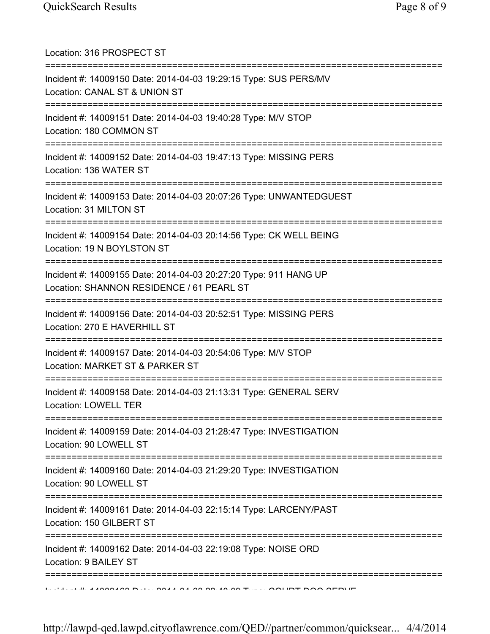| Location: 316 PROSPECT ST<br>================================                                                                          |
|----------------------------------------------------------------------------------------------------------------------------------------|
| Incident #: 14009150 Date: 2014-04-03 19:29:15 Type: SUS PERS/MV<br>Location: CANAL ST & UNION ST<br>============================      |
| Incident #: 14009151 Date: 2014-04-03 19:40:28 Type: M/V STOP<br>Location: 180 COMMON ST                                               |
| Incident #: 14009152 Date: 2014-04-03 19:47:13 Type: MISSING PERS<br>Location: 136 WATER ST<br>=================================       |
| Incident #: 14009153 Date: 2014-04-03 20:07:26 Type: UNWANTEDGUEST<br>Location: 31 MILTON ST                                           |
| Incident #: 14009154 Date: 2014-04-03 20:14:56 Type: CK WELL BEING<br>Location: 19 N BOYLSTON ST                                       |
| Incident #: 14009155 Date: 2014-04-03 20:27:20 Type: 911 HANG UP<br>Location: SHANNON RESIDENCE / 61 PEARL ST                          |
| Incident #: 14009156 Date: 2014-04-03 20:52:51 Type: MISSING PERS<br>Location: 270 E HAVERHILL ST                                      |
| Incident #: 14009157 Date: 2014-04-03 20:54:06 Type: M/V STOP<br>Location: MARKET ST & PARKER ST                                       |
| Incident #: 14009158 Date: 2014-04-03 21:13:31 Type: GENERAL SERV<br>Location: LOWELL TER                                              |
| ======================================<br>Incident #: 14009159 Date: 2014-04-03 21:28:47 Type: INVESTIGATION<br>Location: 90 LOWELL ST |
| ;=====================================<br>Incident #: 14009160 Date: 2014-04-03 21:29:20 Type: INVESTIGATION<br>Location: 90 LOWELL ST |
| :=============================<br>Incident #: 14009161 Date: 2014-04-03 22:15:14 Type: LARCENY/PAST<br>Location: 150 GILBERT ST        |
| Incident #: 14009162 Date: 2014-04-03 22:19:08 Type: NOISE ORD<br>Location: 9 BAILEY ST                                                |
|                                                                                                                                        |